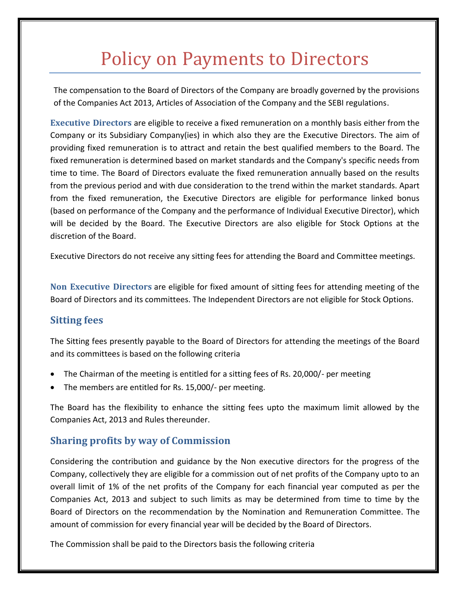## Policy on Payments to Directors

The compensation to the Board of Directors of the Company are broadly governed by the provisions of the Companies Act 2013, Articles of Association of the Company and the SEBI regulations.

**Executive Directors** are eligible to receive a fixed remuneration on a monthly basis either from the Company or its Subsidiary Company(ies) in which also they are the Executive Directors. The aim of providing fixed remuneration is to attract and retain the best qualified members to the Board. The fixed remuneration is determined based on market standards and the Company's specific needs from time to time. The Board of Directors evaluate the fixed remuneration annually based on the results from the previous period and with due consideration to the trend within the market standards. Apart from the fixed remuneration, the Executive Directors are eligible for performance linked bonus (based on performance of the Company and the performance of Individual Executive Director), which will be decided by the Board. The Executive Directors are also eligible for Stock Options at the discretion of the Board.

Executive Directors do not receive any sitting fees for attending the Board and Committee meetings.

**Non Executive Directors** are eligible for fixed amount of sitting fees for attending meeting of the Board of Directors and its committees. The Independent Directors are not eligible for Stock Options.

## **Sitting fees**

The Sitting fees presently payable to the Board of Directors for attending the meetings of the Board and its committees is based on the following criteria

- The Chairman of the meeting is entitled for a sitting fees of Rs. 20,000/- per meeting
- The members are entitled for Rs. 15,000/- per meeting.

The Board has the flexibility to enhance the sitting fees upto the maximum limit allowed by the Companies Act, 2013 and Rules thereunder.

## **Sharing profits by way of Commission**

Considering the contribution and guidance by the Non executive directors for the progress of the Company, collectively they are eligible for a commission out of net profits of the Company upto to an overall limit of 1% of the net profits of the Company for each financial year computed as per the Companies Act, 2013 and subject to such limits as may be determined from time to time by the Board of Directors on the recommendation by the Nomination and Remuneration Committee. The amount of commission for every financial year will be decided by the Board of Directors.

The Commission shall be paid to the Directors basis the following criteria